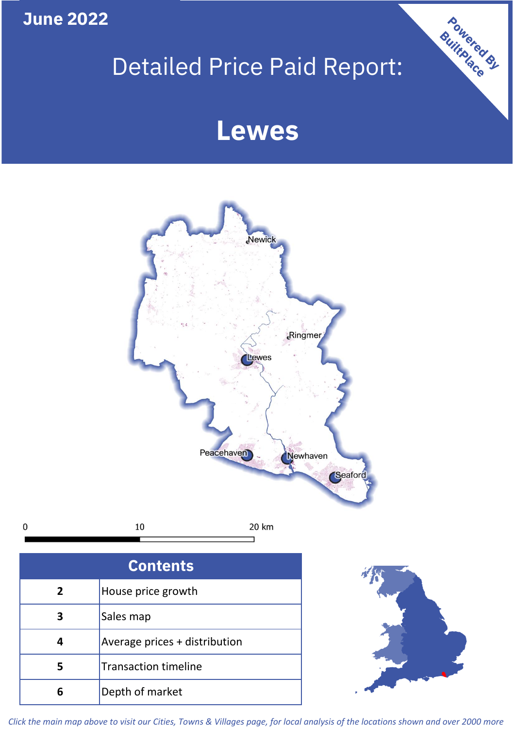**June 2022**

**5**

**4**

**3**

Sales map

**6** Depth of market

Average prices + distribution

Transaction timeline

# Detailed Price Paid Report:

Powered By

## **Lewes**



*Click the main map above to visit our Cities, Towns & Villages page, for local analysis of the locations shown and over 2000 more*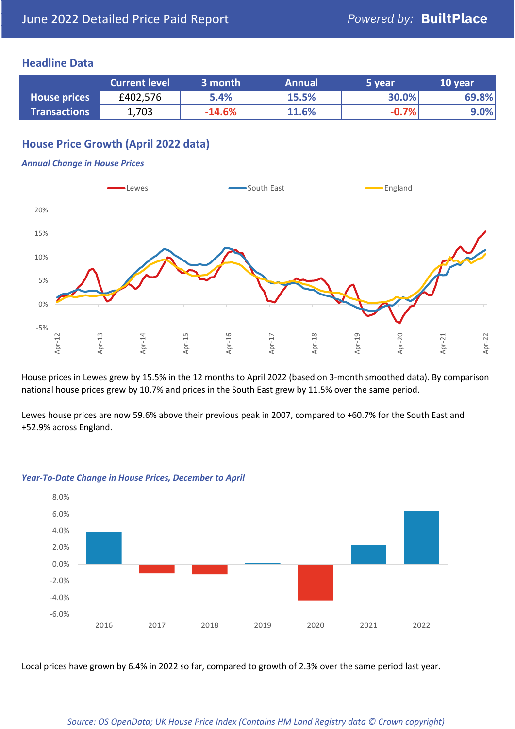## **Headline Data**

|                     | <b>Current level</b> | 3 month  | <b>Annual</b> | 5 year  | 10 year |
|---------------------|----------------------|----------|---------------|---------|---------|
| <b>House prices</b> | £402,576             | 5.4%     | 15.5%         | 30.0%   | 69.8%   |
| <b>Transactions</b> | 1,703                | $-14.6%$ | 11.6%         | $-0.7%$ | $9.0\%$ |

## **House Price Growth (April 2022 data)**

#### *Annual Change in House Prices*



House prices in Lewes grew by 15.5% in the 12 months to April 2022 (based on 3-month smoothed data). By comparison national house prices grew by 10.7% and prices in the South East grew by 11.5% over the same period.

Lewes house prices are now 59.6% above their previous peak in 2007, compared to +60.7% for the South East and +52.9% across England.



#### *Year-To-Date Change in House Prices, December to April*

Local prices have grown by 6.4% in 2022 so far, compared to growth of 2.3% over the same period last year.

#### *Source: OS OpenData; UK House Price Index (Contains HM Land Registry data © Crown copyright)*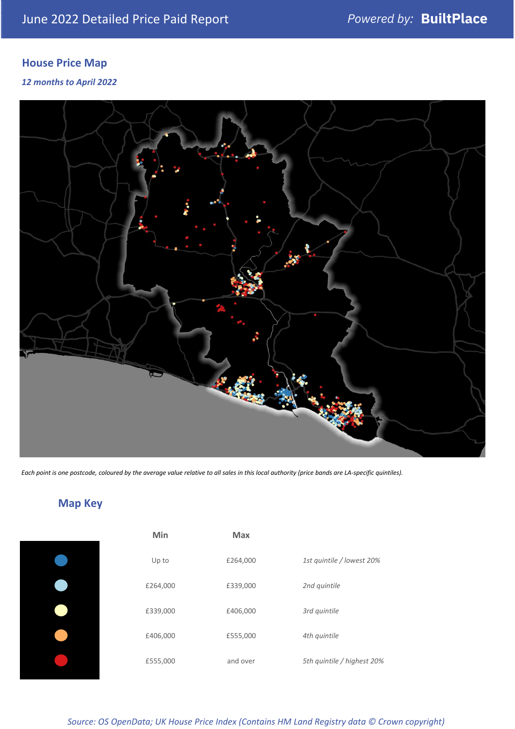## **House Price Map**

### *12 months to April 2022*



*Each point is one postcode, coloured by the average value relative to all sales in this local authority (price bands are LA-specific quintiles).*

**Map Key**

| Min      | <b>Max</b> |                            |
|----------|------------|----------------------------|
| Up to    | £264,000   | 1st quintile / lowest 20%  |
| £264,000 | £339,000   | 2nd quintile               |
| £339,000 | £406,000   | 3rd quintile               |
| £406,000 | £555,000   | 4th quintile               |
| £555,000 | and over   | 5th quintile / highest 20% |

## *Source: OS OpenData; UK House Price Index (Contains HM Land Registry data © Crown copyright)*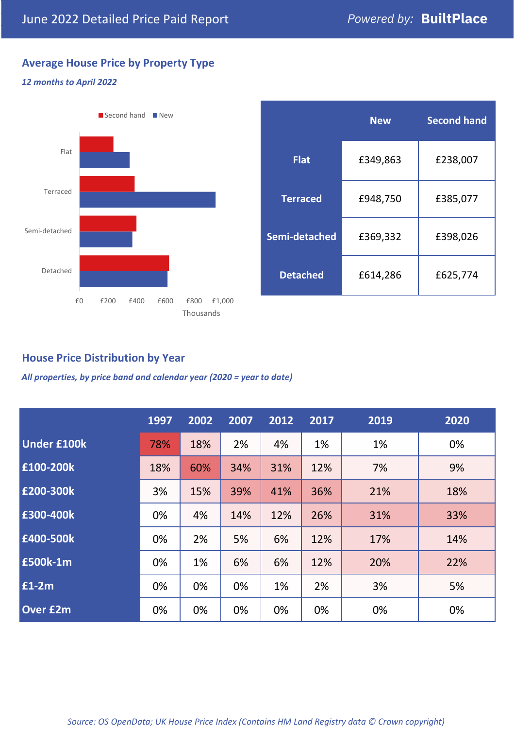## **Average House Price by Property Type**

### *12 months to April 2022*



|                 | <b>New</b> | <b>Second hand</b> |  |  |
|-----------------|------------|--------------------|--|--|
| <b>Flat</b>     | £349,863   | £238,007           |  |  |
| <b>Terraced</b> | £948,750   | £385,077           |  |  |
| Semi-detached   | £369,332   | £398,026           |  |  |
| <b>Detached</b> | £614,286   | £625,774           |  |  |

## **House Price Distribution by Year**

*All properties, by price band and calendar year (2020 = year to date)*

|                    | 1997 | 2002 | 2007 | 2012 | 2017 | 2019 | 2020 |
|--------------------|------|------|------|------|------|------|------|
| <b>Under £100k</b> | 78%  | 18%  | 2%   | 4%   | 1%   | 1%   | 0%   |
| £100-200k          | 18%  | 60%  | 34%  | 31%  | 12%  | 7%   | 9%   |
| E200-300k          | 3%   | 15%  | 39%  | 41%  | 36%  | 21%  | 18%  |
| £300-400k          | 0%   | 4%   | 14%  | 12%  | 26%  | 31%  | 33%  |
| £400-500k          | 0%   | 2%   | 5%   | 6%   | 12%  | 17%  | 14%  |
| <b>£500k-1m</b>    | 0%   | 1%   | 6%   | 6%   | 12%  | 20%  | 22%  |
| £1-2m              | 0%   | 0%   | 0%   | 1%   | 2%   | 3%   | 5%   |
| <b>Over £2m</b>    | 0%   | 0%   | 0%   | 0%   | 0%   | 0%   | 0%   |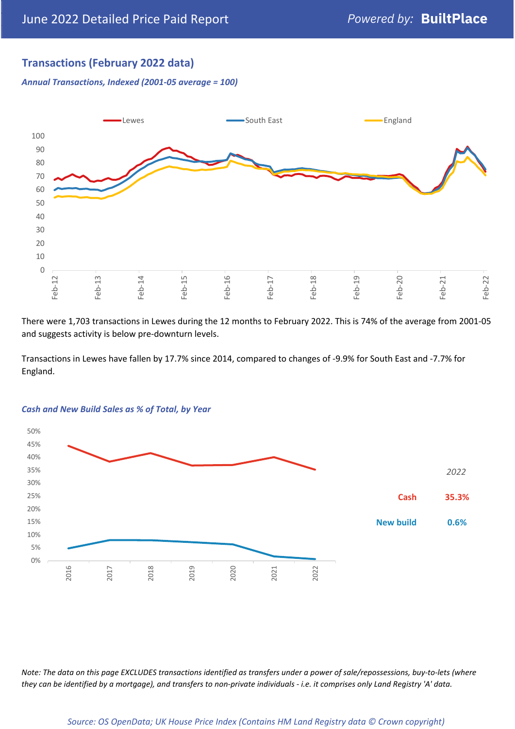## **Transactions (February 2022 data)**

*Annual Transactions, Indexed (2001-05 average = 100)*



There were 1,703 transactions in Lewes during the 12 months to February 2022. This is 74% of the average from 2001-05 and suggests activity is below pre-downturn levels.

Transactions in Lewes have fallen by 17.7% since 2014, compared to changes of -9.9% for South East and -7.7% for England.



#### *Cash and New Build Sales as % of Total, by Year*

*Note: The data on this page EXCLUDES transactions identified as transfers under a power of sale/repossessions, buy-to-lets (where they can be identified by a mortgage), and transfers to non-private individuals - i.e. it comprises only Land Registry 'A' data.*